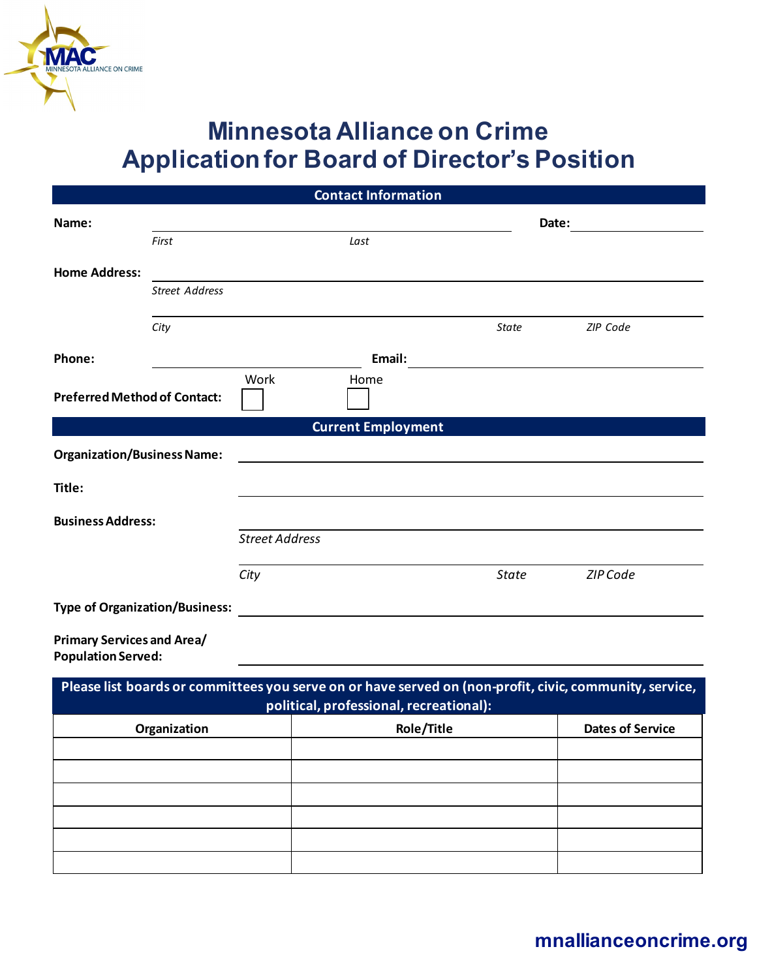

MINNESOTA ALLIANCE ON CRIME

| <b>Contact Information</b>                                     |                       |                       |                                                                                                                      |              |                 |  |  |
|----------------------------------------------------------------|-----------------------|-----------------------|----------------------------------------------------------------------------------------------------------------------|--------------|-----------------|--|--|
| Name:                                                          |                       |                       |                                                                                                                      |              | Date:           |  |  |
|                                                                | First                 |                       | Last                                                                                                                 |              |                 |  |  |
| <b>Home Address:</b>                                           |                       |                       |                                                                                                                      |              |                 |  |  |
|                                                                | <b>Street Address</b> |                       |                                                                                                                      |              |                 |  |  |
|                                                                | City                  |                       |                                                                                                                      | State        | <b>ZIP Code</b> |  |  |
| Phone:                                                         |                       |                       |                                                                                                                      |              |                 |  |  |
|                                                                |                       | Work                  | Home                                                                                                                 |              |                 |  |  |
| <b>Preferred Method of Contact:</b>                            |                       |                       |                                                                                                                      |              |                 |  |  |
| <b>Current Employment</b>                                      |                       |                       |                                                                                                                      |              |                 |  |  |
| <b>Organization/Business Name:</b>                             |                       |                       |                                                                                                                      |              |                 |  |  |
| Title:                                                         |                       |                       |                                                                                                                      |              |                 |  |  |
| <b>Business Address:</b>                                       |                       |                       |                                                                                                                      |              |                 |  |  |
|                                                                |                       | <b>Street Address</b> |                                                                                                                      |              |                 |  |  |
|                                                                |                       | City                  |                                                                                                                      | <b>State</b> | ZIP Code        |  |  |
| <b>Type of Organization/Business:</b>                          |                       |                       | <u> 1980 - Jan Stein Stein Stein Stein Stein Stein Stein Stein Stein Stein Stein Stein Stein Stein Stein Stein S</u> |              |                 |  |  |
| <b>Primary Services and Area/</b><br><b>Population Served:</b> |                       |                       |                                                                                                                      |              |                 |  |  |

| Please list boards or committees you serve on or have served on (non-profit, civic, community, service,<br>political, professional, recreational): |            |                         |  |  |  |
|----------------------------------------------------------------------------------------------------------------------------------------------------|------------|-------------------------|--|--|--|
| Organization                                                                                                                                       | Role/Title | <b>Dates of Service</b> |  |  |  |
|                                                                                                                                                    |            |                         |  |  |  |
|                                                                                                                                                    |            |                         |  |  |  |
|                                                                                                                                                    |            |                         |  |  |  |
|                                                                                                                                                    |            |                         |  |  |  |
|                                                                                                                                                    |            |                         |  |  |  |
|                                                                                                                                                    |            |                         |  |  |  |